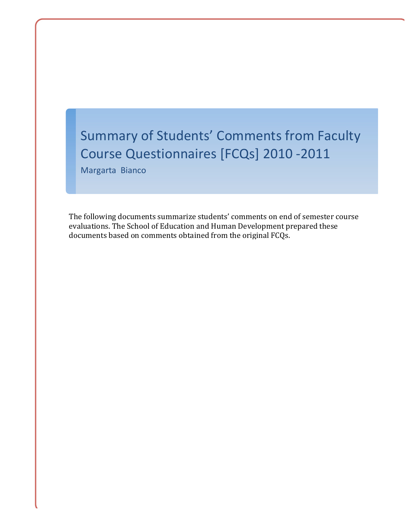# Summary of Students' Comments from Faculty Course Questionnaires [FCQs] 2010 -2011

Margarta Bianco

The following documents summarize students' comments on end of semester course evaluations. The School of Education and Human Development prepared these documents based on comments obtained from the original FCQs.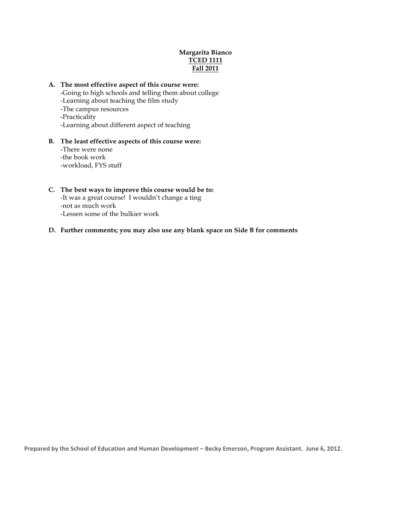# **Margarita Bianco TCED 1111 Fall 2011**

## **A. The most effective aspect of this course were:**

-Going to high schools and telling them about college -Learning about teaching the film study -The campus resources -Practicality -Learning about different aspect of teaching

#### **B. The least effective aspects of this course were:** -There were none -the book work

-workload, FYS stuff

# **C. The best ways to improve this course would be to:**

-It was a great course! I wouldn't change a ting -not as much work -Lessen some of the bulkier work

# **D. Further comments; you may also use any blank space on Side B for comments**

Prepared by the School of Education and Human Development - Becky Emerson, Program Assistant. June 6, 2012.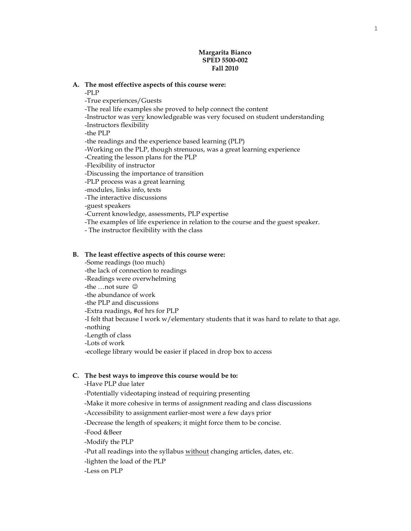#### **Margarita Bianco SPED 5500-002 Fall 2010**

#### **A. The most effective aspects of this course were:**

-PLP

-True experiences/Guests -The real life examples she proved to help connect the content -Instructor was very knowledgeable was very focused on student understanding -Instructors flexibility -the PLP -the readings and the experience based learning (PLP) -Working on the PLP, though strenuous, was a great learning experience -Creating the lesson plans for the PLP -Flexibility of instructor -Discussing the importance of transition -PLP process was a great learning -modules, links info, texts -The interactive discussions -guest speakers -Current knowledge, assessments, PLP expertise

-The examples of life experience in relation to the course and the guest speaker.

- The instructor flexibility with the class

#### **B. The least effective aspects of this course were:**

-Some readings (too much) -the lack of connection to readings -Readings were overwhelming -the  $\dots$ not sure  $\odot$ -the abundance of work -the PLP and discussions -Extra readings, #of hrs for PLP -I felt that because I work w/elementary students that it was hard to relate to that age. -nothing -Length of class -Lots of work -ecollege library would be easier if placed in drop box to access

#### **C. The best ways to improve this course would be to:**

-Have PLP due later

-Potentially videotaping instead of requiring presenting

-Make it more cohesive in terms of assignment reading and class discussions

-Accessibility to assignment earlier-most were a few days prior

-Decrease the length of speakers; it might force them to be concise.

-Food &Beer

-Modify the PLP

-Put all readings into the syllabus without changing articles, dates, etc.

-lighten the load of the PLP

-Less on PLP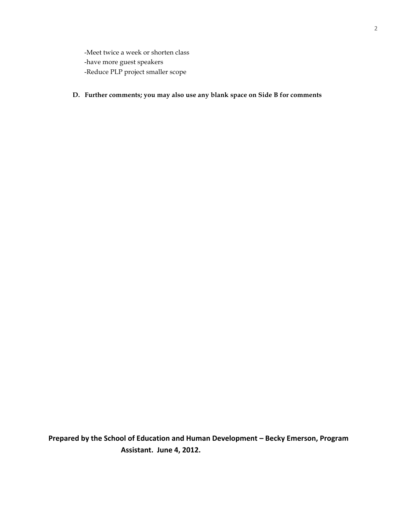-Meet twice a week or shorten class -have more guest speakers -Reduce PLP project smaller scope

**D. Further comments; you may also use any blank space on Side B for comments**

**Prepared by the School of Education and Human Development - Becky Emerson, Program Assistant. June 4, 2012.**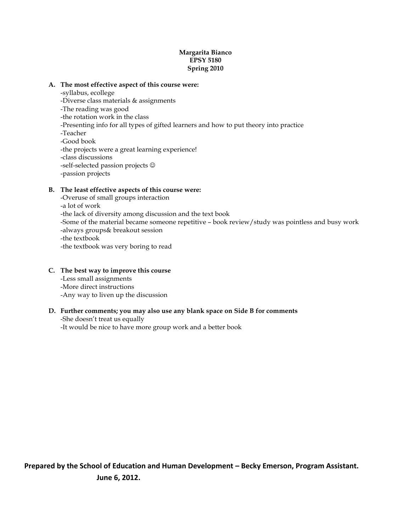# **Margarita Bianco EPSY 5180 Spring 2010**

# **A. The most effective aspect of this course were:**

- -syllabus, ecollege
- -Diverse class materials & assignments
- -The reading was good
- -the rotation work in the class
- -Presenting info for all types of gifted learners and how to put theory into practice
- -Teacher
- -Good book
- -the projects were a great learning experience!
- -class discussions
- -self-selected passion projects  $\odot$
- -passion projects

# **B. The least effective aspects of this course were:**

-Overuse of small groups interaction -a lot of work -the lack of diversity among discussion and the text book -Some of the material became someone repetitive – book review/study was pointless and busy work -always groups& breakout session -the textbook -the textbook was very boring to read

# **C. The best way to improve this course**

- -Less small assignments
- -More direct instructions
- -Any way to liven up the discussion

# **D. Further comments; you may also use any blank space on Side B for comments**

-She doesn't treat us equally -It would be nice to have more group work and a better book

Prepared by the School of Education and Human Development - Becky Emerson, Program Assistant. **June 6, 2012.**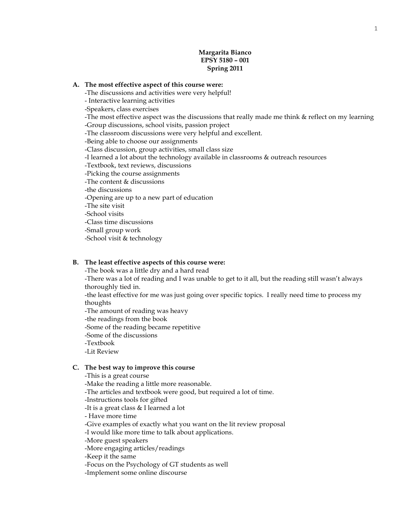# **Margarita Bianco EPSY 5180 – 001 Spring 2011**

#### **A. The most effective aspect of this course were:**

-The discussions and activities were very helpful!

- Interactive learning activities

-Speakers, class exercises

-The most effective aspect was the discussions that really made me think & reflect on my learning -Group discussions, school visits, passion project

-The classroom discussions were very helpful and excellent.

-Being able to choose our assignments

-Class discussion, group activities, small class size

-I learned a lot about the technology available in classrooms & outreach resources

-Textbook, text reviews, discussions

-Picking the course assignments

-The content & discussions

-the discussions

-Opening are up to a new part of education

-The site visit

-School visits

-Class time discussions

-Small group work

-School visit & technology

#### **B. The least effective aspects of this course were:**

-The book was a little dry and a hard read

-There was a lot of reading and I was unable to get to it all, but the reading still wasn't always thoroughly tied in.

-the least effective for me was just going over specific topics. I really need time to process my thoughts

-The amount of reading was heavy

-the readings from the book

-Some of the reading became repetitive

-Some of the discussions

-Textbook

-Lit Review

#### **C. The best way to improve this course**

-This is a great course

-Make the reading a little more reasonable.

-The articles and textbook were good, but required a lot of time.

-Instructions tools for gifted

-It is a great class & I learned a lot

- Have more time

-Give examples of exactly what you want on the lit review proposal

-I would like more time to talk about applications.

-More guest speakers

-More engaging articles/readings

-Keep it the same

-Focus on the Psychology of GT students as well

-Implement some online discourse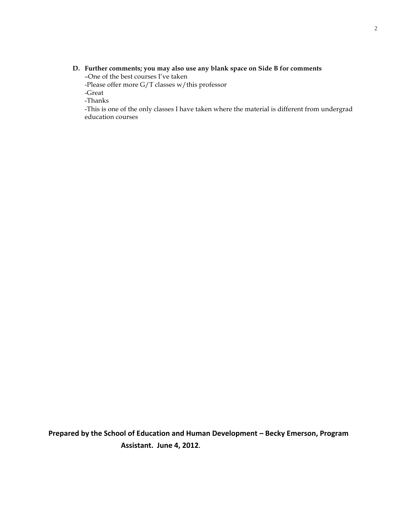# **D. Further comments; you may also use any blank space on Side B for comments**

–One of the best courses I've taken

-Please offer more G/T classes w/this professor

-Great

-Thanks

-This is one of the only classes I have taken where the material is different from undergrad education courses

**Prepared by the School of Education and Human Development - Becky Emerson, Program Assistant. June 4, 2012.**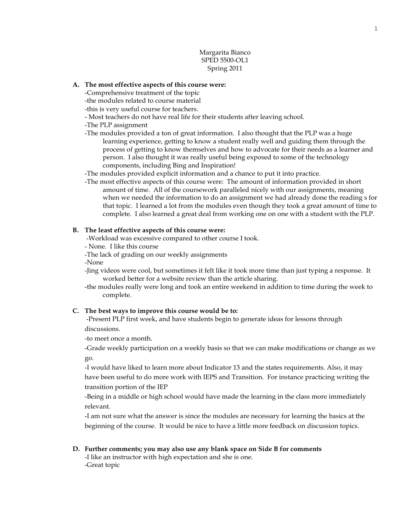# Margarita Bianco SPED 5500-OL1 Spring 2011

#### **A. The most effective aspects of this course were:**

-Comprehensive treatment of the topic

-the modules related to course material

-this is very useful course for teachers.

- Most teachers do not have real life for their students after leaving school.
- -The PLP assignment
- -The modules provided a ton of great information. I also thought that the PLP was a huge learning experience, getting to know a student really well and guiding them through the process of getting to know themselves and how to advocate for their needs as a learner and person. I also thought it was really useful being exposed to some of the technology components, including Bing and Inspiration!
- -The modules provided explicit information and a chance to put it into practice.
- -The most effective aspects of this course were: The amount of information provided in short amount of time. All of the coursework paralleled nicely with our assignments, meaning when we needed the information to do an assignment we had already done the reading s for that topic. I learned a lot from the modules even though they took a great amount of time to complete. I also learned a great deal from working one on one with a student with the PLP.

#### **B. The least effective aspects of this course were:**

-Workload was excessive compared to other course I took.

- None. I like this course

-The lack of grading on our weekly assignments

-None

- -Jing videos were cool, but sometimes it felt like it took more time than just typing a response. It worked better for a website review than the article sharing.
- -the modules really were long and took an entire weekend in addition to time during the week to complete.

#### **C. The best ways to improve this course would be to:**

-Present PLP first week, and have students begin to generate ideas for lessons through discussions.

-to meet once a month.

-Grade weekly participation on a weekly basis so that we can make modifications or change as we go.

-I would have liked to learn more about Indicator 13 and the states requirements. Also, it may have been useful to do more work with IEPS and Transition. For instance practicing writing the transition portion of the IEP

-Being in a middle or high school would have made the learning in the class more immediately relevant.

-I am not sure what the answer is since the modules are necessary for learning the basics at the beginning of the course. It would be nice to have a little more feedback on discussion topics.

**D. Further comments; you may also use any blank space on Side B for comments**

-I like an instructor with high expectation and she is one. -Great topic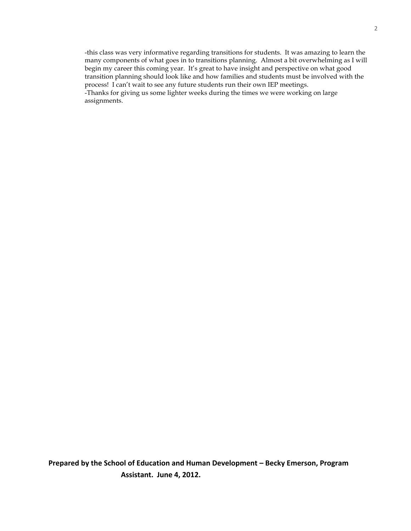-this class was very informative regarding transitions for students. It was amazing to learn the many components of what goes in to transitions planning. Almost a bit overwhelming as I will begin my career this coming year. It's great to have insight and perspective on what good transition planning should look like and how families and students must be involved with the process! I can't wait to see any future students run their own IEP meetings. -Thanks for giving us some lighter weeks during the times we were working on large assignments.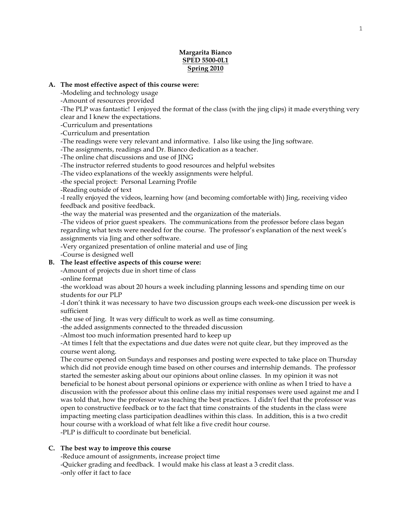# **Margarita Bianco SPED 5500-0L1 Spring 2010**

#### **A. The most effective aspect of this course were:**

-Modeling and technology usage

-Amount of resources provided

-The PLP was fantastic! I enjoyed the format of the class (with the jing clips) it made everything very clear and I knew the expectations.

-Curriculum and presentations

-Curriculum and presentation

-The readings were very relevant and informative. I also like using the Jing software.

-The assignments, readings and Dr. Bianco dedication as a teacher.

-The online chat discussions and use of JING

-The instructor referred students to good resources and helpful websites

-The video explanations of the weekly assignments were helpful.

-the special project: Personal Learning Profile

-Reading outside of text

-I really enjoyed the videos, learning how (and becoming comfortable with) Jing, receiving video feedback and positive feedback.

-the way the material was presented and the organization of the materials.

-The videos of prior guest speakers. The communications from the professor before class began regarding what texts were needed for the course. The professor's explanation of the next week's assignments via Jing and other software.

-Very organized presentation of online material and use of Jing

-Course is designed well

## **B. The least effective aspects of this course were:**

-Amount of projects due in short time of class

-online format

-the workload was about 20 hours a week including planning lessons and spending time on our students for our PLP

-I don't think it was necessary to have two discussion groups each week-one discussion per week is sufficient

-the use of Jing. It was very difficult to work as well as time consuming.

-the added assignments connected to the threaded discussion

-Almost too much information presented hard to keep up

-At times I felt that the expectations and due dates were not quite clear, but they improved as the course went along.

The course opened on Sundays and responses and posting were expected to take place on Thursday which did not provide enough time based on other courses and internship demands. The professor started the semester asking about our opinions about online classes. In my opinion it was not beneficial to be honest about personal opinions or experience with online as when I tried to have a discussion with the professor about this online class my initial responses were used against me and I was told that, how the professor was teaching the best practices. I didn't feel that the professor was open to constructive feedback or to the fact that time constraints of the students in the class were impacting meeting class participation deadlines within this class. In addition, this is a two credit hour course with a workload of what felt like a five credit hour course.

-PLP is difficult to coordinate but beneficial.

## **C. The best way to improve this course**

-Reduce amount of assignments, increase project time

-Quicker grading and feedback. I would make his class at least a 3 credit class. -only offer it fact to face